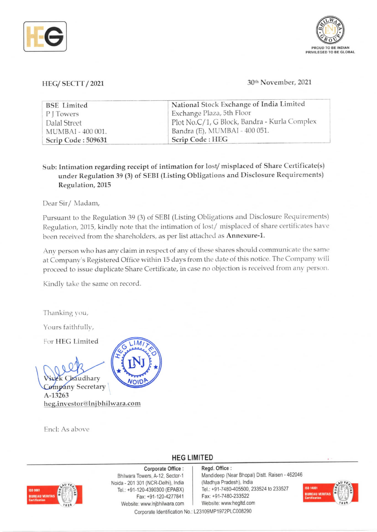



## HEG/ SECTT / 2021 30th November, 2021

| <b>BSE</b> Limited | National Stock Exchange of India Limited     |  |  |
|--------------------|----------------------------------------------|--|--|
| PITowers           | Exchange Plaza, 5th Floor                    |  |  |
| Dalal Street       | Plot No.C/1, G Block, Bandra - Kurla Complex |  |  |
| MUMBAI - 400 001.  | Bandra (E), MUMBAI - 400 051.                |  |  |
| Scrip Code: 509631 | Scrip Code: HEG                              |  |  |

Sub: Intimation regarding receipt of intimation for lost/misplaced of Share Certificate(s) under Regulation 39 (3) of SEBI (Listing Obligations and Disclosure Requirements) Regulation, 2015

Dear Sir/ Madam,

Pursuant to the Regulation 39 (3) of SEBI (Listing Obligations and Disclosure Requirements) Regulation, 2015, kindly note that the intimation of lost/ misplaced of share certificates have been received from the shareholders, as per list attached as Annexure-1.

Any person who has any claim in respect of any of these shares should communicate the same at Company's Registered Office within 15 days from the date of this notice. The Company will proceed to issue duplicate Share Certificate, in case no objection is received from any person.

Kindly take the same on record.

Thanking you,

Yours faithfully,

For HEG Limited

raudhary

**Company Secretary** A-13263 heg.investor@lnjbhilwara.com

Encl: As above



## HEG LIMITED

## Corporate Office :

 $\frac{1}{2}$ . VERITAS  $\frac{1}{2}$ 

Bhilwara Towers, A-12, Sector-1 Noida -201 301 (NCR-Delhi), India Tel.: +91-120-4390300 (EPABX) Fax: +91-120-4277841 Website: www.Injbhilwara.com Corporate Identification No. : L23109MP 1972PLC008290

Regd. Office : Mandideep (Near Bhopal) Distt. Ralsen -462046 (Madhya Pradesh), India Tel.: +91-7480-405500, 233524 to 233527 Fax: +91-7480-233522 Website: www. hegltd.com